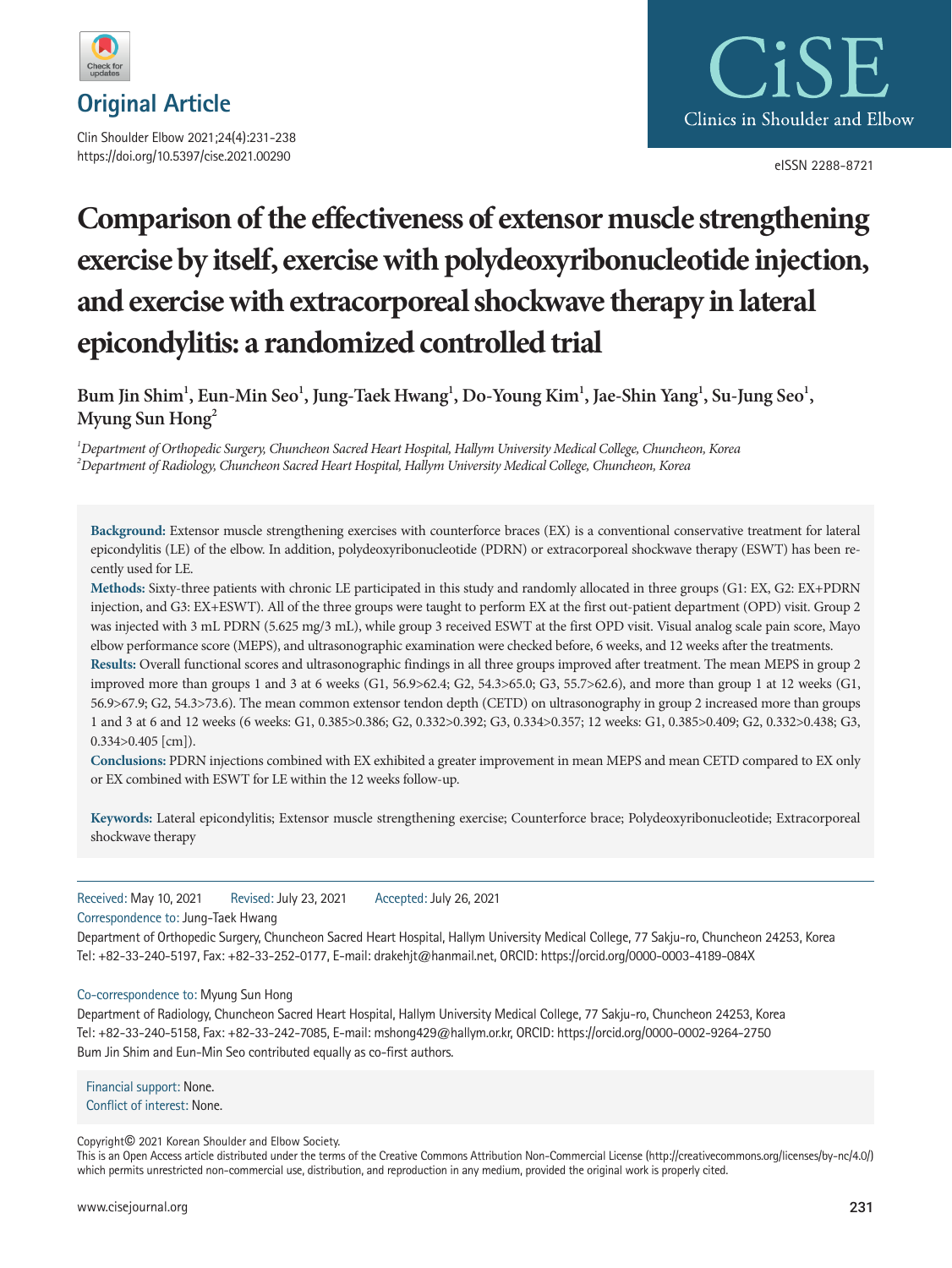

**Original Article**

Clin Shoulder Elbow 2021;24(4):231-238 https://doi.org/10.5397/cise.2021.00290



eISSN 2288-8721

# **Comparison of the effectiveness of extensor muscle strengthening exercise by itself, exercise with polydeoxyribonucleotide injection, and exercise with extracorporeal shockwave therapy in lateral epicondylitis: a randomized controlled trial**

 $\bm{\beta}$  Bum Jin Shim $^1$ , Eun-Min Seo $^1$ , Jung-Taek Hwang $^1$ , Do-Young Kim $^1$ , Jae-Shin Yang $^1$ , Su-Jung Seo $^1$ , **Myung Sun Hong2**

*1 Department of Orthopedic Surgery, Chuncheon Sacred Heart Hospital, Hallym University Medical College, Chuncheon, Korea 2 Department of Radiology, Chuncheon Sacred Heart Hospital, Hallym University Medical College, Chuncheon, Korea* 

**Background:** Extensor muscle strengthening exercises with counterforce braces (EX) is a conventional conservative treatment for lateral epicondylitis (LE) of the elbow. In addition, polydeoxyribonucleotide (PDRN) or extracorporeal shockwave therapy (ESWT) has been recently used for LE.

**Methods:** Sixty-three patients with chronic LE participated in this study and randomly allocated in three groups (G1: EX, G2: EX+PDRN injection, and G3: EX+ESWT). All of the three groups were taught to perform EX at the first out-patient department (OPD) visit. Group 2 was injected with 3 mL PDRN (5.625 mg/3 mL), while group 3 received ESWT at the first OPD visit. Visual analog scale pain score, Mayo elbow performance score (MEPS), and ultrasonographic examination were checked before, 6 weeks, and 12 weeks after the treatments.

**Results:** Overall functional scores and ultrasonographic findings in all three groups improved after treatment. The mean MEPS in group 2 improved more than groups 1 and 3 at 6 weeks (G1, 56.9>62.4; G2, 54.3>65.0; G3, 55.7>62.6), and more than group 1 at 12 weeks (G1, 56.9>67.9; G2, 54.3>73.6). The mean common extensor tendon depth (CETD) on ultrasonography in group 2 increased more than groups 1 and 3 at 6 and 12 weeks (6 weeks: G1, 0.385>0.386; G2, 0.332>0.392; G3, 0.334>0.357; 12 weeks: G1, 0.385>0.409; G2, 0.332>0.438; G3, 0.334>0.405 [cm]).

**Conclusions:** PDRN injections combined with EX exhibited a greater improvement in mean MEPS and mean CETD compared to EX only or EX combined with ESWT for LE within the 12 weeks follow-up.

**Keywords:** Lateral epicondylitis; Extensor muscle strengthening exercise; Counterforce brace; Polydeoxyribonucleotide; Extracorporeal shockwave therapy

Received: May 10, 2021 Revised: July 23, 2021 Accepted: July 26, 2021

Correspondence to: Jung-Taek Hwang

Department of Orthopedic Surgery, Chuncheon Sacred Heart Hospital, Hallym University Medical College, 77 Sakju-ro, Chuncheon 24253, Korea Tel: +82-33-240-5197, Fax: +82-33-252-0177, E-mail: drakehjt@hanmail.net, ORCID: https://orcid.org/0000-0003-4189-084X

### Co-correspondence to: Myung Sun Hong

Department of Radiology, Chuncheon Sacred Heart Hospital, Hallym University Medical College, 77 Sakju-ro, Chuncheon 24253, Korea Tel: +82-33-240-5158, Fax: +82-33-242-7085, E-mail: mshong429@hallym.or.kr, ORCID: https://orcid.org/0000-0002-9264-2750 Bum Jin Shim and Eun-Min Seo contributed equally as co-first authors.

Financial support: None. Conflict of interest: None.

Copyright© 2021 Korean Shoulder and Elbow Society.

This is an Open Access article distributed under the terms of the Creative Commons Attribution Non-Commercial License (http://creativecommons.org/licenses/by-nc/4.0/) which permits unrestricted non-commercial use, distribution, and reproduction in any medium, provided the original work is properly cited.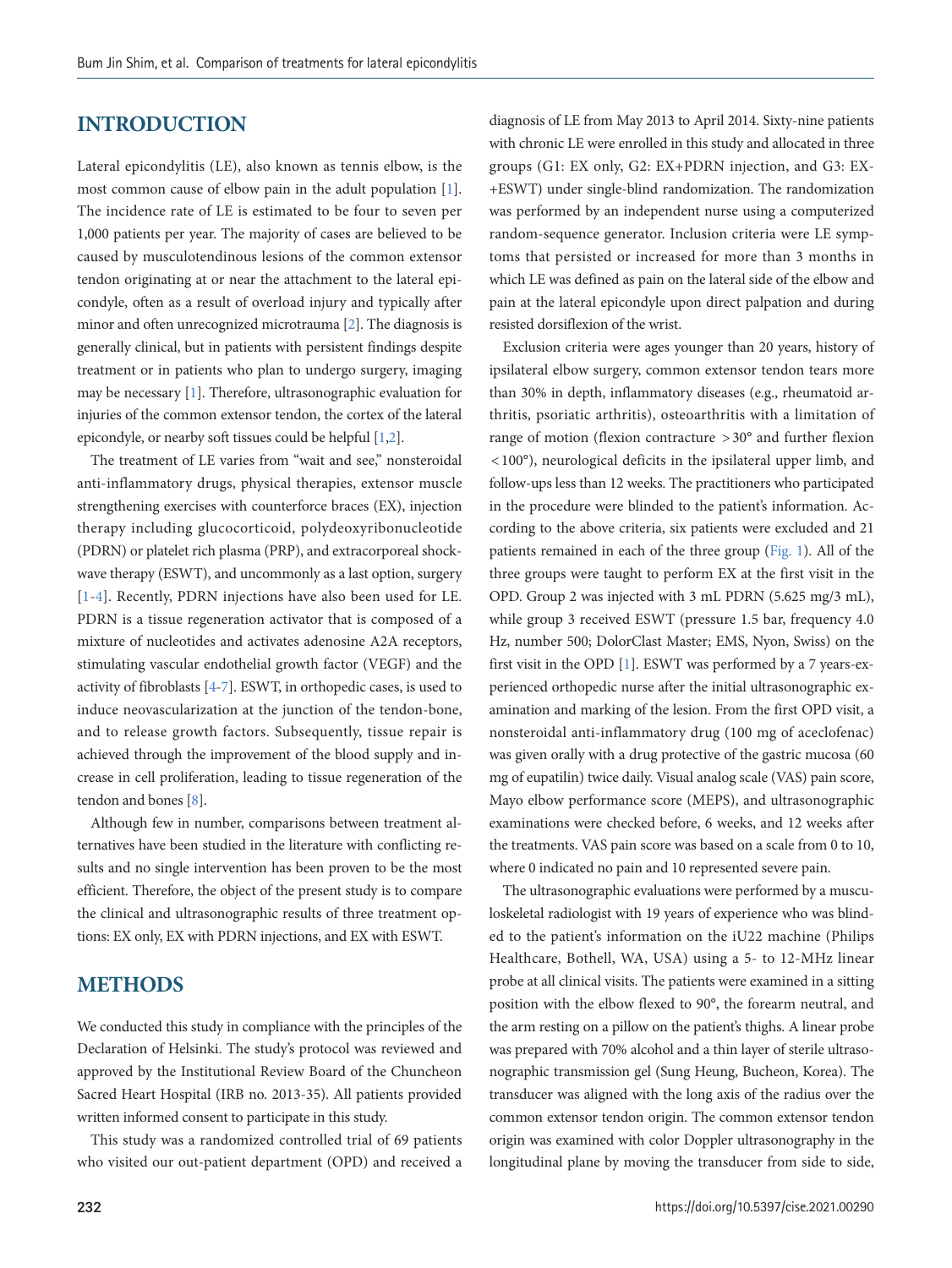## **INTRODUCTION**

Lateral epicondylitis (LE), also known as tennis elbow, is the most common cause of elbow pain in the adult population [\[1\]](#page-6-0). The incidence rate of LE is estimated to be four to seven per 1,000 patients per year. The majority of cases are believed to be caused by musculotendinous lesions of the common extensor tendon originating at or near the attachment to the lateral epicondyle, often as a result of overload injury and typically after minor and often unrecognized microtrauma [\[2](#page-6-1)]. The diagnosis is generally clinical, but in patients with persistent findings despite treatment or in patients who plan to undergo surgery, imaging may be necessary [\[1](#page-6-0)]. Therefore, ultrasonographic evaluation for injuries of the common extensor tendon, the cortex of the lateral epicondyle, or nearby soft tissues could be helpful [\[1](#page-6-0)[,2\]](#page-6-1).

The treatment of LE varies from "wait and see," nonsteroidal anti-inflammatory drugs, physical therapies, extensor muscle strengthening exercises with counterforce braces (EX), injection therapy including glucocorticoid, polydeoxyribonucleotide (PDRN) or platelet rich plasma (PRP), and extracorporeal shockwave therapy (ESWT), and uncommonly as a last option, surgery [[1](#page-6-0)[-4](#page-7-0)]. Recently, PDRN injections have also been used for LE. PDRN is a tissue regeneration activator that is composed of a mixture of nucleotides and activates adenosine A2A receptors, stimulating vascular endothelial growth factor (VEGF) and the activity of fibroblasts [\[4](#page-7-0)[-7\]](#page-7-1). ESWT, in orthopedic cases, is used to induce neovascularization at the junction of the tendon-bone, and to release growth factors. Subsequently, tissue repair is achieved through the improvement of the blood supply and increase in cell proliferation, leading to tissue regeneration of the tendon and bones [[8](#page-7-2)].

Although few in number, comparisons between treatment alternatives have been studied in the literature with conflicting results and no single intervention has been proven to be the most efficient. Therefore, the object of the present study is to compare the clinical and ultrasonographic results of three treatment options: EX only, EX with PDRN injections, and EX with ESWT.

## **METHODS**

We conducted this study in compliance with the principles of the Declaration of Helsinki. The study's protocol was reviewed and approved by the Institutional Review Board of the Chuncheon Sacred Heart Hospital (IRB no. 2013-35). All patients provided written informed consent to participate in this study.

This study was a randomized controlled trial of 69 patients who visited our out-patient department (OPD) and received a diagnosis of LE from May 2013 to April 2014. Sixty-nine patients with chronic LE were enrolled in this study and allocated in three groups (G1: EX only, G2: EX+PDRN injection, and G3: EX- +ESWT) under single-blind randomization. The randomization was performed by an independent nurse using a computerized random-sequence generator. Inclusion criteria were LE symptoms that persisted or increased for more than 3 months in which LE was defined as pain on the lateral side of the elbow and pain at the lateral epicondyle upon direct palpation and during resisted dorsiflexion of the wrist.

Exclusion criteria were ages younger than 20 years, history of ipsilateral elbow surgery, common extensor tendon tears more than 30% in depth, inflammatory diseases (e.g., rheumatoid arthritis, psoriatic arthritis), osteoarthritis with a limitation of range of motion (flexion contracture > 30° and further flexion < 100°), neurological deficits in the ipsilateral upper limb, and follow-ups less than 12 weeks. The practitioners who participated in the procedure were blinded to the patient's information. According to the above criteria, six patients were excluded and 21 patients remained in each of the three group [\(Fig. 1\)](#page-2-0). All of the three groups were taught to perform EX at the first visit in the OPD. Group 2 was injected with 3 mL PDRN (5.625 mg/3 mL), while group 3 received ESWT (pressure 1.5 bar, frequency 4.0 Hz, number 500; DolorClast Master; EMS, Nyon, Swiss) on the first visit in the OPD [\[1\]](#page-6-0). ESWT was performed by a 7 years-experienced orthopedic nurse after the initial ultrasonographic examination and marking of the lesion. From the first OPD visit, a nonsteroidal anti-inflammatory drug (100 mg of aceclofenac) was given orally with a drug protective of the gastric mucosa (60 mg of eupatilin) twice daily. Visual analog scale (VAS) pain score, Mayo elbow performance score (MEPS), and ultrasonographic examinations were checked before, 6 weeks, and 12 weeks after the treatments. VAS pain score was based on a scale from 0 to 10, where 0 indicated no pain and 10 represented severe pain.

The ultrasonographic evaluations were performed by a musculoskeletal radiologist with 19 years of experience who was blinded to the patient's information on the iU22 machine (Philips Healthcare, Bothell, WA, USA) using a 5- to 12-MHz linear probe at all clinical visits. The patients were examined in a sitting position with the elbow flexed to 90°, the forearm neutral, and the arm resting on a pillow on the patient's thighs. A linear probe was prepared with 70% alcohol and a thin layer of sterile ultrasonographic transmission gel (Sung Heung, Bucheon, Korea). The transducer was aligned with the long axis of the radius over the common extensor tendon origin. The common extensor tendon origin was examined with color Doppler ultrasonography in the longitudinal plane by moving the transducer from side to side,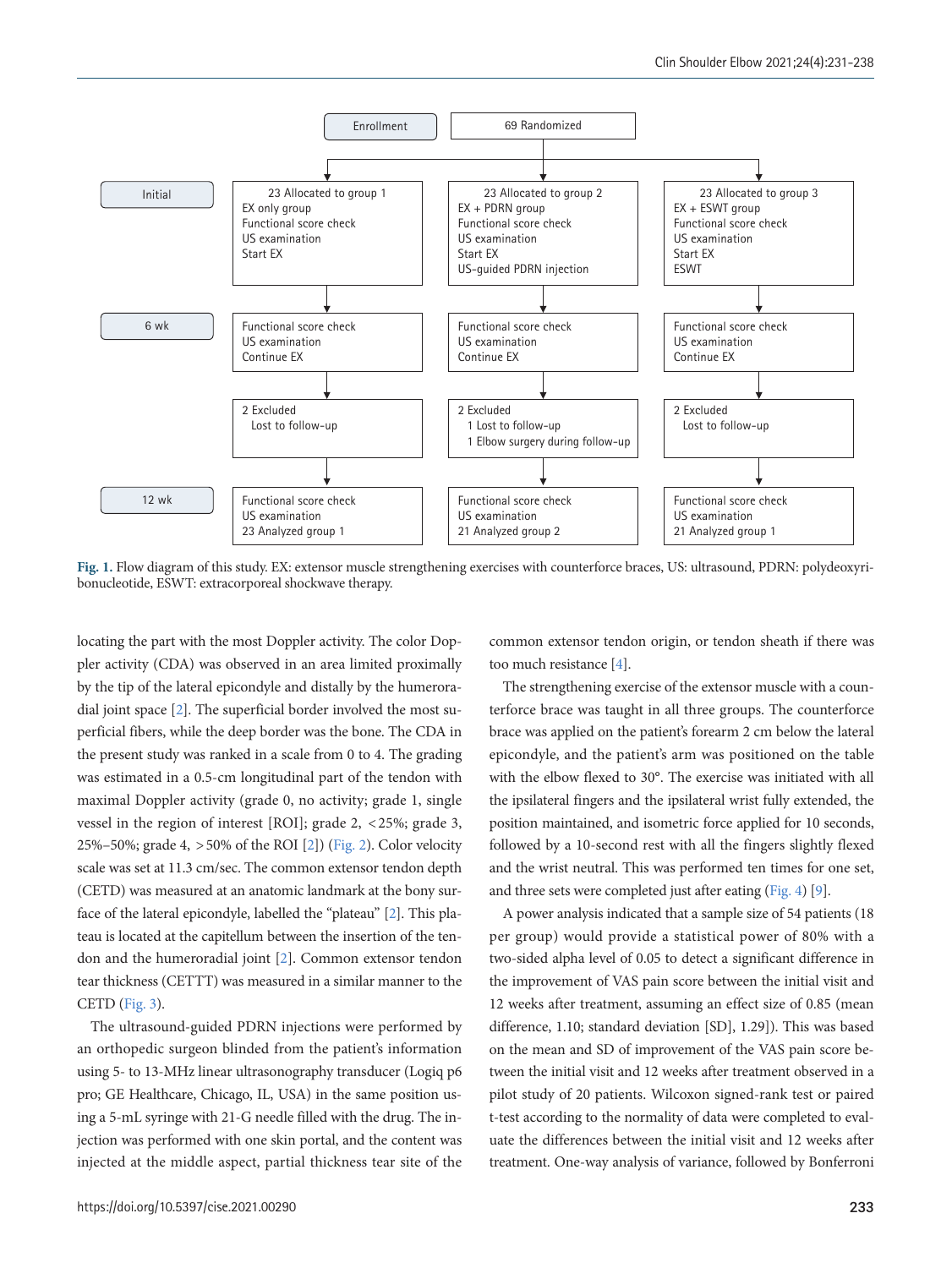<span id="page-2-0"></span>

**Fig. 1.** Flow diagram of this study. EX: extensor muscle strengthening exercises with counterforce braces, US: ultrasound, PDRN: polydeoxyribonucleotide, ESWT: extracorporeal shockwave therapy.

locating the part with the most Doppler activity. The color Doppler activity (CDA) was observed in an area limited proximally by the tip of the lateral epicondyle and distally by the humeroradial joint space [2]. The superficial border involved the most superficial fibers, while the deep border was the bone. The CDA in the present study was ranked in a scale from 0 to 4. The grading was estimated in a 0.5-cm longitudinal part of the tendon with maximal Doppler activity (grade 0, no activity; grade 1, single vessel in the region of interest [ROI]; grade 2, < 25%; grade 3, 25%–50%; grade 4, > 50% of the ROI [2]) [\(Fig. 2](#page-3-0)). Color velocity scale was set at 11.3 cm/sec. The common extensor tendon depth (CETD) was measured at an anatomic landmark at the bony surface of the lateral epicondyle, labelled the "plateau" [2]. This plateau is located at the capitellum between the insertion of the tendon and the humeroradial joint [2]. Common extensor tendon tear thickness (CETTT) was measured in a similar manner to the CETD [\(Fig. 3\)](#page-3-1).

The ultrasound-guided PDRN injections were performed by an orthopedic surgeon blinded from the patient's information using 5- to 13-MHz linear ultrasonography transducer (Logiq p6 pro; GE Healthcare, Chicago, IL, USA) in the same position using a 5-mL syringe with 21-G needle filled with the drug. The injection was performed with one skin portal, and the content was injected at the middle aspect, partial thickness tear site of the

common extensor tendon origin, or tendon sheath if there was too much resistance [4].

The strengthening exercise of the extensor muscle with a counterforce brace was taught in all three groups. The counterforce brace was applied on the patient's forearm 2 cm below the lateral epicondyle, and the patient's arm was positioned on the table with the elbow flexed to 30°. The exercise was initiated with all the ipsilateral fingers and the ipsilateral wrist fully extended, the position maintained, and isometric force applied for 10 seconds, followed by a 10-second rest with all the fingers slightly flexed and the wrist neutral. This was performed ten times for one set, and three sets were completed just after eating ([Fig. 4\)](#page-3-2) [\[9\]](#page-7-3).

A power analysis indicated that a sample size of 54 patients (18 per group) would provide a statistical power of 80% with a two-sided alpha level of 0.05 to detect a significant difference in the improvement of VAS pain score between the initial visit and 12 weeks after treatment, assuming an effect size of 0.85 (mean difference, 1.10; standard deviation [SD], 1.29]). This was based on the mean and SD of improvement of the VAS pain score between the initial visit and 12 weeks after treatment observed in a pilot study of 20 patients. Wilcoxon signed-rank test or paired t-test according to the normality of data were completed to evaluate the differences between the initial visit and 12 weeks after treatment. One-way analysis of variance, followed by Bonferroni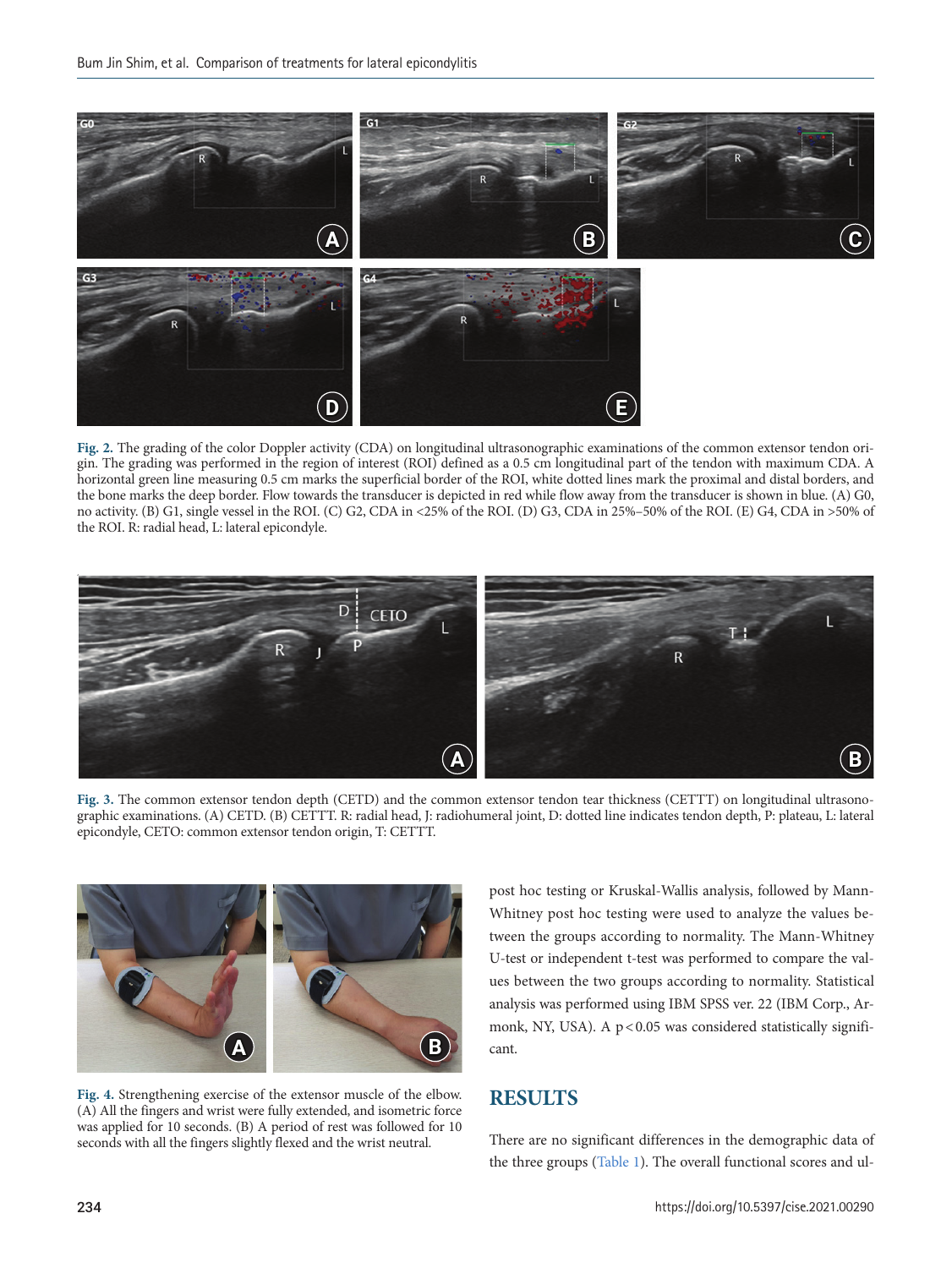<span id="page-3-0"></span>

**Fig. 2.** The grading of the color Doppler activity (CDA) on longitudinal ultrasonographic examinations of the common extensor tendon origin. The grading was performed in the region of interest (ROI) defined as a 0.5 cm longitudinal part of the tendon with maximum CDA. A horizontal green line measuring 0.5 cm marks the superficial border of the ROI, white dotted lines mark the proximal and distal borders, and the bone marks the deep border. Flow towards the transducer is depicted in red while flow away from the transducer is shown in blue. (A) G0, no activity. (B) G1, single vessel in the ROI. (C) G2, CDA in <25% of the ROI. (D) G3, CDA in 25%–50% of the ROI. (E) G4, CDA in >50% of the ROI. R: radial head, L: lateral epicondyle.

<span id="page-3-1"></span>

**Fig. 3.** The common extensor tendon depth (CETD) and the common extensor tendon tear thickness (CETTT) on longitudinal ultrasonographic examinations. (A) CETD. (B) CETTT. R: radial head, J: radiohumeral joint, D: dotted line indicates tendon depth, P: plateau, L: lateral epicondyle, CETO: common extensor tendon origin, T: CETTT.

<span id="page-3-2"></span>

**Fig. 4.** Strengthening exercise of the extensor muscle of the elbow. (A) All the fingers and wrist were fully extended, and isometric force was applied for 10 seconds. (B) A period of rest was followed for 10 seconds with all the fingers slightly flexed and the wrist neutral.

post hoc testing or Kruskal-Wallis analysis, followed by Mann-Whitney post hoc testing were used to analyze the values between the groups according to normality. The Mann-Whitney U-test or independent t-test was performed to compare the values between the two groups according to normality. Statistical analysis was performed using IBM SPSS ver. 22 (IBM Corp., Armonk, NY, USA). A p < 0.05 was considered statistically significant.

## **RESULTS**

There are no significant differences in the demographic data of the three groups ([Table 1\)](#page-4-0). The overall functional scores and ul-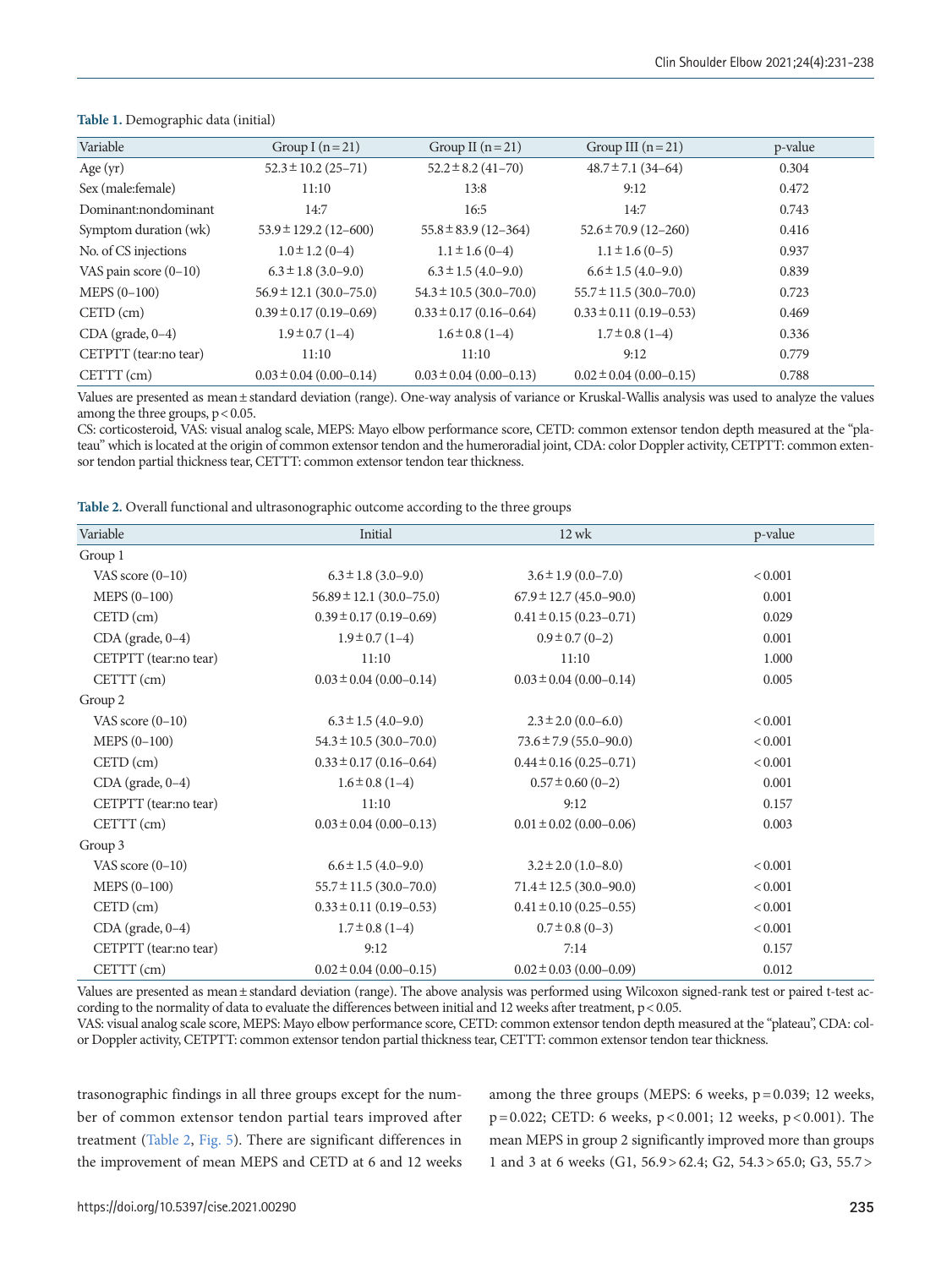| Variable                | Group I $(n=21)$             | Group II $(n=21)$             | Group III $(n=21)$            | p-value |
|-------------------------|------------------------------|-------------------------------|-------------------------------|---------|
| Age $(yr)$              | $52.3 \pm 10.2$ (25-71)      | $52.2 \pm 8.2$ (41-70)        | $48.7 \pm 7.1$ (34-64)        | 0.304   |
| Sex (male: female)      | 11:10                        | 13:8                          | 9:12                          | 0.472   |
| Dominant:nondominant    | 14:7                         | 16:5                          | 14:7                          | 0.743   |
| Symptom duration (wk)   | $53.9 \pm 129.2$ (12-600)    | $55.8 \pm 83.9$ (12-364)      | $52.6 \pm 70.9$ (12-260)      | 0.416   |
| No. of CS injections    | $1.0 \pm 1.2$ (0-4)          | $1.1 \pm 1.6(0-4)$            | $1.1 \pm 1.6(0-5)$            | 0.937   |
| VAS pain score $(0-10)$ | $6.3 \pm 1.8$ (3.0–9.0)      | $6.3 \pm 1.5$ (4.0-9.0)       | $6.6 \pm 1.5$ (4.0-9.0)       | 0.839   |
| $MEPS (0-100)$          | $56.9 \pm 12.1$ (30.0-75.0)  | $54.3 \pm 10.5 (30.0 - 70.0)$ | $55.7 \pm 11.5 (30.0 - 70.0)$ | 0.723   |
| $CETD$ (cm)             | $0.39 \pm 0.17(0.19 - 0.69)$ | $0.33 \pm 0.17$ (0.16-0.64)   | $0.33 \pm 0.11 (0.19 - 0.53)$ | 0.469   |
| $CDA$ (grade, $0-4$ )   | $1.9 \pm 0.7(1 - 4)$         | $1.6 \pm 0.8$ (1-4)           | $1.7 \pm 0.8$ (1-4)           | 0.336   |
| CETPTT (tear:no tear)   | 11:10                        | 11:10                         | 9:12                          | 0.779   |
| CETTT (cm)              | $0.03 \pm 0.04$ (0.00-0.14)  | $0.03 \pm 0.04$ (0.00-0.13)   | $0.02 \pm 0.04$ (0.00-0.15)   | 0.788   |

#### <span id="page-4-0"></span>**Table 1.** Demographic data (initial)

Values are presented as mean± standard deviation (range). One-way analysis of variance or Kruskal-Wallis analysis was used to analyze the values among the three groups,  $p < 0.05$ .

CS: corticosteroid, VAS: visual analog scale, MEPS: Mayo elbow performance score, CETD: common extensor tendon depth measured at the "plateau" which is located at the origin of common extensor tendon and the humeroradial joint, CDA: color Doppler activity, CETPTT: common extensor tendon partial thickness tear, CETTT: common extensor tendon tear thickness.

<span id="page-4-1"></span>**Table 2.** Overall functional and ultrasonographic outcome according to the three groups

| Variable              | Initial                        | $12$ wk                       | p-value      |
|-----------------------|--------------------------------|-------------------------------|--------------|
| Group 1               |                                |                               |              |
| VAS score $(0-10)$    | $6.3 \pm 1.8$ (3.0–9.0)        | $3.6 \pm 1.9$ (0.0-7.0)       | ${}_{0.001}$ |
| MEPS (0-100)          | $56.89 \pm 12.1 (30.0 - 75.0)$ | $67.9 \pm 12.7$ (45.0-90.0)   | 0.001        |
| $CETD$ (cm)           | $0.39 \pm 0.17$ (0.19-0.69)    | $0.41 \pm 0.15$ (0.23-0.71)   | 0.029        |
| CDA (grade, 0-4)      | $1.9 \pm 0.7(1 - 4)$           | $0.9 \pm 0.7$ (0-2)           | 0.001        |
| CETPTT (tear:no tear) | 11:10                          | 11:10                         | 1.000        |
| CETTT (cm)            | $0.03 \pm 0.04$ (0.00-0.14)    | $0.03 \pm 0.04$ (0.00-0.14)   | 0.005        |
| Group 2               |                                |                               |              |
| VAS score $(0-10)$    | $6.3 \pm 1.5$ (4.0-9.0)        | $2.3 \pm 2.0$ (0.0–6.0)       | < 0.001      |
| MEPS (0-100)          | $54.3 \pm 10.5 (30.0 - 70.0)$  | $73.6 \pm 7.9$ (55.0-90.0)    | < 0.001      |
| $CETD$ (cm)           | $0.33 \pm 0.17$ (0.16-0.64)    | $0.44 \pm 0.16$ (0.25-0.71)   | < 0.001      |
| CDA (grade, 0-4)      | $1.6 \pm 0.8$ (1-4)            | $0.57 \pm 0.60$ (0-2)         | 0.001        |
| CETPTT (tear:no tear) | 11:10                          | 9:12                          | 0.157        |
| CETTT (cm)            | $0.03 \pm 0.04$ (0.00-0.13)    | $0.01 \pm 0.02$ (0.00–0.06)   | 0.003        |
| Group 3               |                                |                               |              |
| VAS score $(0-10)$    | $6.6 \pm 1.5$ (4.0–9.0)        | $3.2 \pm 2.0$ (1.0–8.0)       | < 0.001      |
| $MEPS (0-100)$        | $55.7 \pm 11.5 (30.0 - 70.0)$  | $71.4 \pm 12.5 (30.0 - 90.0)$ | < 0.001      |
| $CETD$ (cm)           | $0.33 \pm 0.11 (0.19 - 0.53)$  | $0.41 \pm 0.10$ (0.25–0.55)   | < 0.001      |
| CDA (grade, 0-4)      | $1.7 \pm 0.8$ (1-4)            | $0.7 \pm 0.8$ (0-3)           | < 0.001      |
| CETPTT (tear:no tear) | 9:12                           | 7:14                          | 0.157        |
| CETTT (cm)            | $0.02 \pm 0.04$ (0.00-0.15)    | $0.02 \pm 0.03$ (0.00-0.09)   | 0.012        |

Values are presented as mean± standard deviation (range). The above analysis was performed using Wilcoxon signed-rank test or paired t-test according to the normality of data to evaluate the differences between initial and 12 weeks after treatment,  $p < 0.05$ .

VAS: visual analog scale score, MEPS: Mayo elbow performance score, CETD: common extensor tendon depth measured at the "plateau", CDA: color Doppler activity, CETPTT: common extensor tendon partial thickness tear, CETTT: common extensor tendon tear thickness.

trasonographic findings in all three groups except for the number of common extensor tendon partial tears improved after treatment ([Table 2](#page-4-1), [Fig. 5](#page-5-0)). There are significant differences in the improvement of mean MEPS and CETD at 6 and 12 weeks among the three groups (MEPS: 6 weeks,  $p = 0.039$ ; 12 weeks, p = 0.022; CETD: 6 weeks, p < 0.001; 12 weeks, p < 0.001). The mean MEPS in group 2 significantly improved more than groups 1 and 3 at 6 weeks (G1, 56.9 > 62.4; G2, 54.3 > 65.0; G3, 55.7 >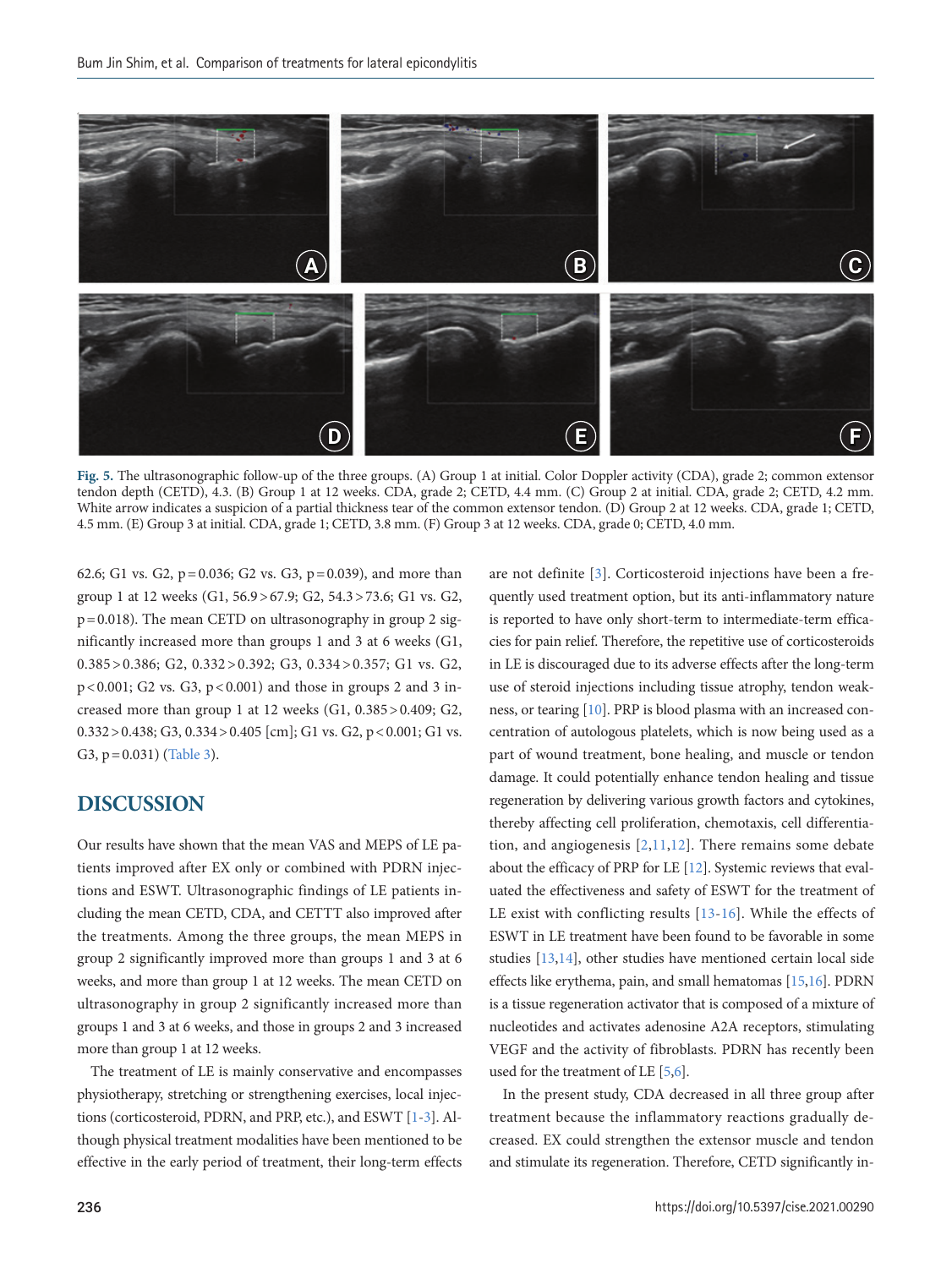<span id="page-5-0"></span>

**Fig. 5.** The ultrasonographic follow-up of the three groups. (A) Group 1 at initial. Color Doppler activity (CDA), grade 2; common extensor tendon depth (CETD), 4.3. (B) Group 1 at 12 weeks. CDA, grade 2; CETD, 4.4 mm. (C) Group 2 at initial. CDA, grade 2; CETD, 4.2 mm. White arrow indicates a suspicion of a partial thickness tear of the common extensor tendon. (D) Group 2 at 12 weeks. CDA, grade 1; CETD, 4.5 mm. (E) Group 3 at initial. CDA, grade 1; CETD, 3.8 mm. (F) Group 3 at 12 weeks. CDA, grade 0; CETD, 4.0 mm.

62.6; G1 vs. G2,  $p = 0.036$ ; G2 vs. G3,  $p = 0.039$ ), and more than group 1 at 12 weeks (G1, 56.9 > 67.9; G2, 54.3 > 73.6; G1 vs. G2,  $p = 0.018$ ). The mean CETD on ultrasonography in group 2 significantly increased more than groups 1 and 3 at 6 weeks (G1, 0.385 > 0.386; G2, 0.332 > 0.392; G3, 0.334 > 0.357; G1 vs. G2, p < 0.001; G2 vs. G3, p < 0.001) and those in groups 2 and 3 increased more than group 1 at 12 weeks (G1, 0.385 > 0.409; G2, 0.332 > 0.438; G3, 0.334 > 0.405 [cm]; G1 vs. G2, p < 0.001; G1 vs. G3,  $p = 0.031$ ) [\(Table 3\)](#page-6-2).

## **DISCUSSION**

Our results have shown that the mean VAS and MEPS of LE patients improved after EX only or combined with PDRN injections and ESWT. Ultrasonographic findings of LE patients including the mean CETD, CDA, and CETTT also improved after the treatments. Among the three groups, the mean MEPS in group 2 significantly improved more than groups 1 and 3 at 6 weeks, and more than group 1 at 12 weeks. The mean CETD on ultrasonography in group 2 significantly increased more than groups 1 and 3 at 6 weeks, and those in groups 2 and 3 increased more than group 1 at 12 weeks.

The treatment of LE is mainly conservative and encompasses physiotherapy, stretching or strengthening exercises, local injections (corticosteroid, PDRN, and PRP, etc.), and ESWT [1[-3\]](#page-7-4). Although physical treatment modalities have been mentioned to be effective in the early period of treatment, their long-term effects

quently used treatment option, but its anti-inflammatory nature is reported to have only short-term to intermediate-term efficacies for pain relief. Therefore, the repetitive use of corticosteroids in LE is discouraged due to its adverse effects after the long-term use of steroid injections including tissue atrophy, tendon weakness, or tearing [\[10\]](#page-7-5). PRP is blood plasma with an increased concentration of autologous platelets, which is now being used as a part of wound treatment, bone healing, and muscle or tendon damage. It could potentially enhance tendon healing and tissue regeneration by delivering various growth factors and cytokines, thereby affecting cell proliferation, chemotaxis, cell differentiation, and angiogenesis [2,[11](#page-7-6)[,12](#page-7-3)]. There remains some debate about the efficacy of PRP for LE [\[12\]](#page-7-3). Systemic reviews that evaluated the effectiveness and safety of ESWT for the treatment of LE exist with conflicting results [\[13-](#page-7-7)[16\]](#page-7-8). While the effects of ESWT in LE treatment have been found to be favorable in some studies [\[13](#page-7-7)[,14\]](#page-7-9), other studies have mentioned certain local side effects like erythema, pain, and small hematomas [\[15,](#page-7-10)[16\]](#page-7-8). PDRN is a tissue regeneration activator that is composed of a mixture of nucleotides and activates adenosine A2A receptors, stimulating VEGF and the activity of fibroblasts. PDRN has recently been used for the treatment of LE [\[5,](#page-7-11)[6](#page-7-12)].

are not definite [\[3\]](#page-7-4). Corticosteroid injections have been a fre-

In the present study, CDA decreased in all three group after treatment because the inflammatory reactions gradually decreased. EX could strengthen the extensor muscle and tendon and stimulate its regeneration. Therefore, CETD significantly in-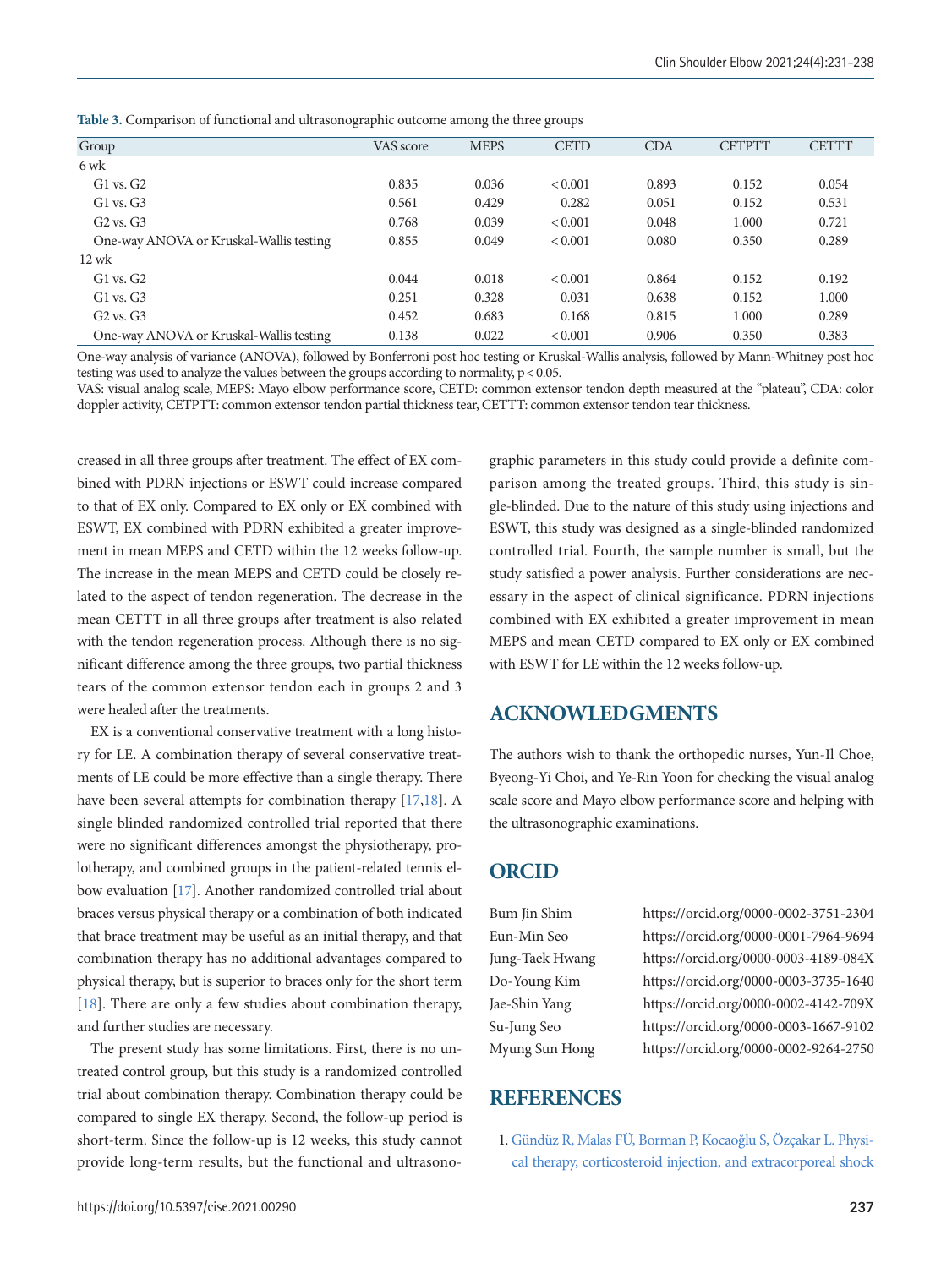| Group                                   | VAS score | <b>MEPS</b> | <b>CETD</b>    | <b>CDA</b> | <b>CETPTT</b> | <b>CETTT</b> |
|-----------------------------------------|-----------|-------------|----------------|------------|---------------|--------------|
| 6 wk                                    |           |             |                |            |               |              |
| $G1$ vs. $G2$                           | 0.835     | 0.036       | ${}_{0.001}$   | 0.893      | 0.152         | 0.054        |
| $G1$ vs. $G3$                           | 0.561     | 0.429       | 0.282          | 0.051      | 0.152         | 0.531        |
| $G2$ vs. $G3$                           | 0.768     | 0.039       | ${}_{0.001}$   | 0.048      | 1.000         | 0.721        |
| One-way ANOVA or Kruskal-Wallis testing | 0.855     | 0.049       | ${}_{0.001}$   | 0.080      | 0.350         | 0.289        |
| $12$ wk                                 |           |             |                |            |               |              |
| $G1$ vs. $G2$                           | 0.044     | 0.018       | ${}_{< 0.001}$ | 0.864      | 0.152         | 0.192        |
| $G1$ vs. $G3$                           | 0.251     | 0.328       | 0.031          | 0.638      | 0.152         | 1.000        |
| $G2$ vs. $G3$                           | 0.452     | 0.683       | 0.168          | 0.815      | 1.000         | 0.289        |
| One-way ANOVA or Kruskal-Wallis testing | 0.138     | 0.022       | < 0.001        | 0.906      | 0.350         | 0.383        |

<span id="page-6-2"></span>**Table 3.** Comparison of functional and ultrasonographic outcome among the three groups

One-way analysis of variance (ANOVA), followed by Bonferroni post hoc testing or Kruskal-Wallis analysis, followed by Mann-Whitney post hoc testing was used to analyze the values between the groups according to normality,  $p < 0.05$ .

VAS: visual analog scale, MEPS: Mayo elbow performance score, CETD: common extensor tendon depth measured at the "plateau", CDA: color doppler activity, CETPTT: common extensor tendon partial thickness tear, CETTT: common extensor tendon tear thickness.

creased in all three groups after treatment. The effect of EX combined with PDRN injections or ESWT could increase compared to that of EX only. Compared to EX only or EX combined with ESWT, EX combined with PDRN exhibited a greater improvement in mean MEPS and CETD within the 12 weeks follow-up. The increase in the mean MEPS and CETD could be closely related to the aspect of tendon regeneration. The decrease in the mean CETTT in all three groups after treatment is also related with the tendon regeneration process. Although there is no significant difference among the three groups, two partial thickness tears of the common extensor tendon each in groups 2 and 3 were healed after the treatments.

EX is a conventional conservative treatment with a long history for LE. A combination therapy of several conservative treatments of LE could be more effective than a single therapy. There have been several attempts for combination therapy [[17](#page-7-13)[,18](#page-7-14)]. A single blinded randomized controlled trial reported that there were no significant differences amongst the physiotherapy, prolotherapy, and combined groups in the patient-related tennis elbow evaluation [\[17\]](#page-7-15). Another randomized controlled trial about braces versus physical therapy or a combination of both indicated that brace treatment may be useful as an initial therapy, and that combination therapy has no additional advantages compared to physical therapy, but is superior to braces only for the short term [\[18\]](#page-7-9). There are only a few studies about combination therapy, and further studies are necessary.

The present study has some limitations. First, there is no untreated control group, but this study is a randomized controlled trial about combination therapy. Combination therapy could be compared to single EX therapy. Second, the follow-up period is short-term. Since the follow-up is 12 weeks, this study cannot provide long-term results, but the functional and ultrasonographic parameters in this study could provide a definite comparison among the treated groups. Third, this study is single-blinded. Due to the nature of this study using injections and ESWT, this study was designed as a single-blinded randomized controlled trial. Fourth, the sample number is small, but the study satisfied a power analysis. Further considerations are necessary in the aspect of clinical significance. PDRN injections combined with EX exhibited a greater improvement in mean MEPS and mean CETD compared to EX only or EX combined with ESWT for LE within the 12 weeks follow-up.

## **ACKNOWLEDGMENTS**

The authors wish to thank the orthopedic nurses, Yun-Il Choe, Byeong-Yi Choi, and Ye-Rin Yoon for checking the visual analog scale score and Mayo elbow performance score and helping with the ultrasonographic examinations.

## **ORCID**

<span id="page-6-0"></span>

Bum Jin Shim https://orcid.org/0000-0002-3751-2304 Eun-Min Seo https://orcid.org/0000-0001-7964-9694 Jung-Taek Hwang https://orcid.org/0000-0003-4189-084X Do-Young Kim https://orcid.org/0000-0003-3735-1640 Jae-Shin Yang https://orcid.org/0000-0002-4142-709X Su-Jung Seo https://orcid.org/0000-0003-1667-9102 Myung Sun Hong https://orcid.org/0000-0002-9264-2750

## <span id="page-6-1"></span>**REFERENCES**

1. Gündüz R, Malas FÜ, Borman [P, Kocao](https://doi.org/10.1007/s10067-012-1939-y)ğlu S, Özçakar L. Physical therapy, corticosteroid injection, and extracorporeal shock